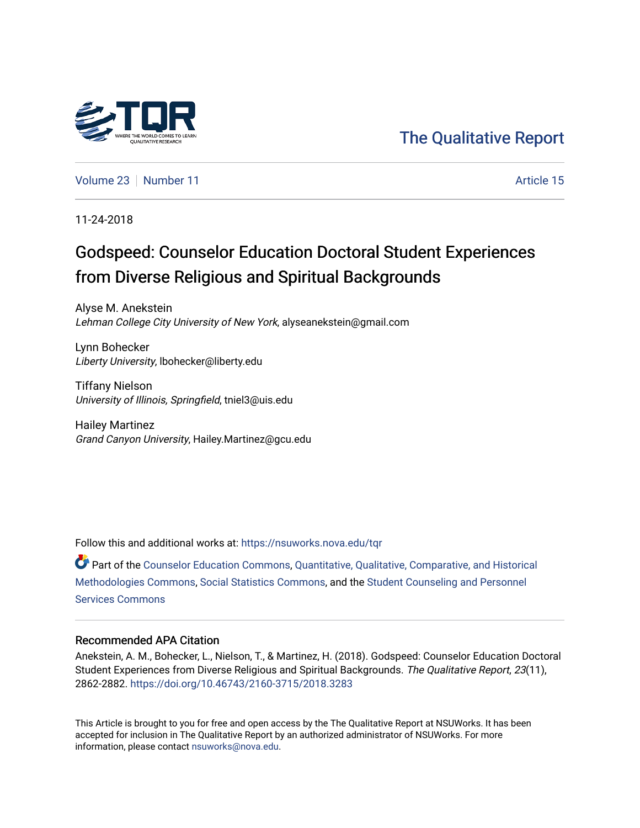

[The Qualitative Report](https://nsuworks.nova.edu/tqr) 

[Volume 23](https://nsuworks.nova.edu/tqr/vol23) [Number 11](https://nsuworks.nova.edu/tqr/vol23/iss11) Article 15

11-24-2018

# Godspeed: Counselor Education Doctoral Student Experiences from Diverse Religious and Spiritual Backgrounds

Alyse M. Anekstein Lehman College City University of New York, alyseanekstein@gmail.com

Lynn Bohecker Liberty University, lbohecker@liberty.edu

Tiffany Nielson University of Illinois, Springfield, tniel3@uis.edu

Hailey Martinez Grand Canyon University, Hailey.Martinez@gcu.edu

Follow this and additional works at: [https://nsuworks.nova.edu/tqr](https://nsuworks.nova.edu/tqr?utm_source=nsuworks.nova.edu%2Ftqr%2Fvol23%2Fiss11%2F15&utm_medium=PDF&utm_campaign=PDFCoverPages) 

Part of the [Counselor Education Commons,](http://network.bepress.com/hgg/discipline/1278?utm_source=nsuworks.nova.edu%2Ftqr%2Fvol23%2Fiss11%2F15&utm_medium=PDF&utm_campaign=PDFCoverPages) [Quantitative, Qualitative, Comparative, and Historical](http://network.bepress.com/hgg/discipline/423?utm_source=nsuworks.nova.edu%2Ftqr%2Fvol23%2Fiss11%2F15&utm_medium=PDF&utm_campaign=PDFCoverPages) [Methodologies Commons](http://network.bepress.com/hgg/discipline/423?utm_source=nsuworks.nova.edu%2Ftqr%2Fvol23%2Fiss11%2F15&utm_medium=PDF&utm_campaign=PDFCoverPages), [Social Statistics Commons](http://network.bepress.com/hgg/discipline/1275?utm_source=nsuworks.nova.edu%2Ftqr%2Fvol23%2Fiss11%2F15&utm_medium=PDF&utm_campaign=PDFCoverPages), and the [Student Counseling and Personnel](http://network.bepress.com/hgg/discipline/802?utm_source=nsuworks.nova.edu%2Ftqr%2Fvol23%2Fiss11%2F15&utm_medium=PDF&utm_campaign=PDFCoverPages)  [Services Commons](http://network.bepress.com/hgg/discipline/802?utm_source=nsuworks.nova.edu%2Ftqr%2Fvol23%2Fiss11%2F15&utm_medium=PDF&utm_campaign=PDFCoverPages)

#### Recommended APA Citation

Anekstein, A. M., Bohecker, L., Nielson, T., & Martinez, H. (2018). Godspeed: Counselor Education Doctoral Student Experiences from Diverse Religious and Spiritual Backgrounds. The Qualitative Report, 23(11), 2862-2882. <https://doi.org/10.46743/2160-3715/2018.3283>

This Article is brought to you for free and open access by the The Qualitative Report at NSUWorks. It has been accepted for inclusion in The Qualitative Report by an authorized administrator of NSUWorks. For more information, please contact [nsuworks@nova.edu.](mailto:nsuworks@nova.edu)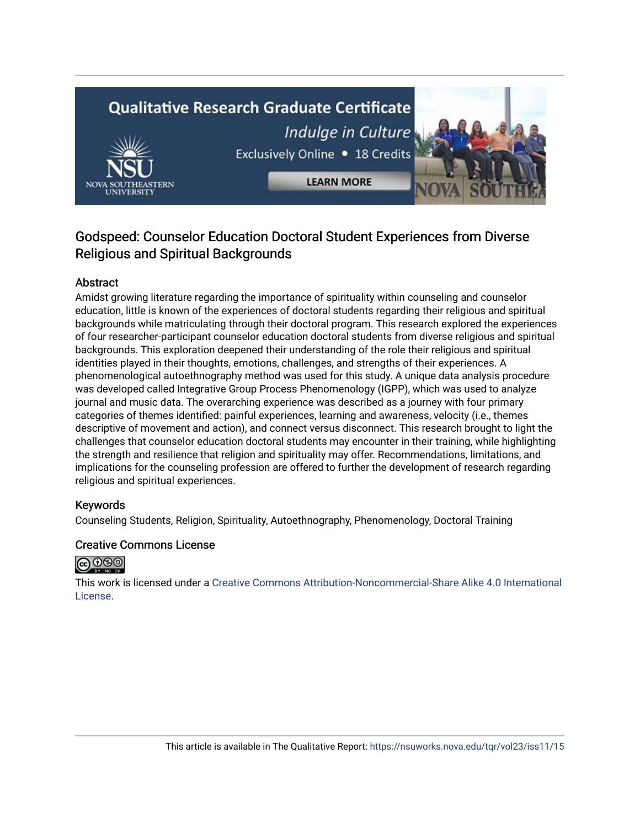# **Qualitative Research Graduate Certificate** Indulge in Culture Exclusively Online . 18 Credits **LEARN MORE**



## Godspeed: Counselor Education Doctoral Student Experiences from Diverse Religious and Spiritual Backgrounds

## Abstract

Amidst growing literature regarding the importance of spirituality within counseling and counselor education, little is known of the experiences of doctoral students regarding their religious and spiritual backgrounds while matriculating through their doctoral program. This research explored the experiences of four researcher-participant counselor education doctoral students from diverse religious and spiritual backgrounds. This exploration deepened their understanding of the role their religious and spiritual identities played in their thoughts, emotions, challenges, and strengths of their experiences. A phenomenological autoethnography method was used for this study. A unique data analysis procedure was developed called Integrative Group Process Phenomenology (IGPP), which was used to analyze journal and music data. The overarching experience was described as a journey with four primary categories of themes identified: painful experiences, learning and awareness, velocity (i.e., themes descriptive of movement and action), and connect versus disconnect. This research brought to light the challenges that counselor education doctoral students may encounter in their training, while highlighting the strength and resilience that religion and spirituality may offer. Recommendations, limitations, and implications for the counseling profession are offered to further the development of research regarding religious and spiritual experiences.

## Keywords

Counseling Students, Religion, Spirituality, Autoethnography, Phenomenology, Doctoral Training

## Creative Commons License



This work is licensed under a [Creative Commons Attribution-Noncommercial-Share Alike 4.0 International](https://creativecommons.org/licenses/by-nc-sa/4.0/)  [License](https://creativecommons.org/licenses/by-nc-sa/4.0/).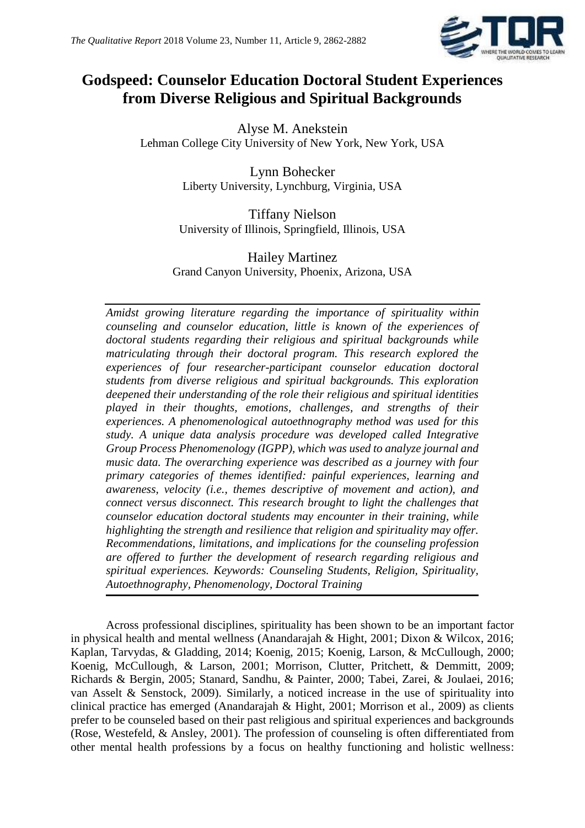

## **Godspeed: Counselor Education Doctoral Student Experiences from Diverse Religious and Spiritual Backgrounds**

Alyse M. Anekstein Lehman College City University of New York, New York, USA

> Lynn Bohecker Liberty University, Lynchburg, Virginia, USA

Tiffany Nielson University of Illinois, Springfield, Illinois, USA

Hailey Martinez Grand Canyon University, Phoenix, Arizona, USA

*Amidst growing literature regarding the importance of spirituality within counseling and counselor education, little is known of the experiences of doctoral students regarding their religious and spiritual backgrounds while matriculating through their doctoral program. This research explored the experiences of four researcher-participant counselor education doctoral students from diverse religious and spiritual backgrounds. This exploration deepened their understanding of the role their religious and spiritual identities played in their thoughts, emotions, challenges, and strengths of their experiences. A phenomenological autoethnography method was used for this study. A unique data analysis procedure was developed called Integrative Group Process Phenomenology (IGPP), which was used to analyze journal and music data. The overarching experience was described as a journey with four primary categories of themes identified: painful experiences, learning and awareness, velocity (i.e., themes descriptive of movement and action), and connect versus disconnect. This research brought to light the challenges that counselor education doctoral students may encounter in their training, while highlighting the strength and resilience that religion and spirituality may offer. Recommendations, limitations, and implications for the counseling profession are offered to further the development of research regarding religious and spiritual experiences. Keywords: Counseling Students, Religion, Spirituality, Autoethnography, Phenomenology, Doctoral Training*

Across professional disciplines, spirituality has been shown to be an important factor in physical health and mental wellness (Anandarajah & Hight, 2001; Dixon & Wilcox, 2016; Kaplan, Tarvydas, & Gladding, 2014; Koenig, 2015; Koenig, Larson, & McCullough, 2000; Koenig, McCullough, & Larson, 2001; Morrison, Clutter, Pritchett, & Demmitt, 2009; Richards & Bergin, 2005; Stanard, Sandhu, & Painter, 2000; Tabei, Zarei, & Joulaei, 2016; van Asselt & Senstock, 2009). Similarly, a noticed increase in the use of spirituality into clinical practice has emerged (Anandarajah & Hight, 2001; Morrison et al., 2009) as clients prefer to be counseled based on their past religious and spiritual experiences and backgrounds (Rose, Westefeld, & Ansley, 2001). The profession of counseling is often differentiated from other mental health professions by a focus on healthy functioning and holistic wellness: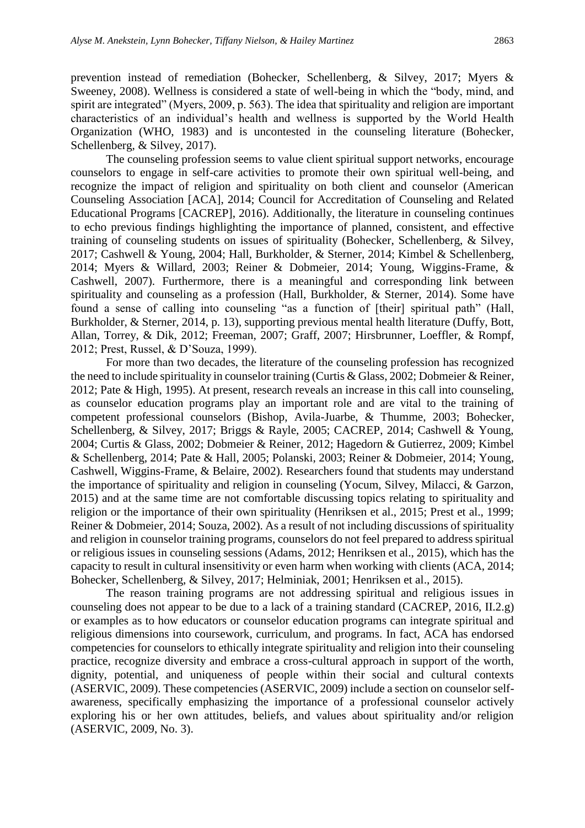prevention instead of remediation (Bohecker, Schellenberg, & Silvey, 2017; Myers & Sweeney, 2008). Wellness is considered a state of well-being in which the "body, mind, and spirit are integrated" (Myers, 2009, p. 563). The idea that spirituality and religion are important characteristics of an individual's health and wellness is supported by the World Health Organization (WHO, 1983) and is uncontested in the counseling literature (Bohecker, Schellenberg, & Silvey, 2017).

The counseling profession seems to value client spiritual support networks, encourage counselors to engage in self-care activities to promote their own spiritual well-being, and recognize the impact of religion and spirituality on both client and counselor (American Counseling Association [ACA], 2014; Council for Accreditation of Counseling and Related Educational Programs [CACREP], 2016). Additionally, the literature in counseling continues to echo previous findings highlighting the importance of planned, consistent, and effective training of counseling students on issues of spirituality (Bohecker, Schellenberg, & Silvey, 2017; Cashwell & Young, 2004; Hall, Burkholder, & Sterner, 2014; Kimbel & Schellenberg, 2014; Myers & Willard, 2003; Reiner & Dobmeier, 2014; Young, Wiggins-Frame, & Cashwell, 2007). Furthermore, there is a meaningful and corresponding link between spirituality and counseling as a profession (Hall, Burkholder, & Sterner, 2014). Some have found a sense of calling into counseling "as a function of [their] spiritual path" (Hall, Burkholder, & Sterner, 2014, p. 13), supporting previous mental health literature (Duffy, Bott, Allan, Torrey, & Dik, 2012; Freeman, 2007; Graff, 2007; Hirsbrunner, Loeffler, & Rompf, 2012; Prest, Russel, & D'Souza, 1999).

For more than two decades, the literature of the counseling profession has recognized the need to include spirituality in counselor training (Curtis & Glass, 2002; Dobmeier & Reiner, 2012; Pate & High, 1995). At present, research reveals an increase in this call into counseling, as counselor education programs play an important role and are vital to the training of competent professional counselors (Bishop, Avila-Juarbe, & Thumme, 2003; Bohecker, Schellenberg, & Silvey, 2017; Briggs & Rayle, 2005; CACREP, 2014; Cashwell & Young, 2004; Curtis & Glass, 2002; Dobmeier & Reiner, 2012; Hagedorn & Gutierrez, 2009; Kimbel & Schellenberg, 2014; Pate & Hall, 2005; Polanski, 2003; Reiner & Dobmeier, 2014; Young, Cashwell, Wiggins-Frame, & Belaire, 2002). Researchers found that students may understand the importance of spirituality and religion in counseling (Yocum, Silvey, Milacci, & Garzon, 2015) and at the same time are not comfortable discussing topics relating to spirituality and religion or the importance of their own spirituality (Henriksen et al., 2015; Prest et al., 1999; Reiner & Dobmeier, 2014; Souza, 2002). As a result of not including discussions of spirituality and religion in counselor training programs, counselors do not feel prepared to address spiritual or religious issues in counseling sessions (Adams, 2012; Henriksen et al., 2015), which has the capacity to result in cultural insensitivity or even harm when working with clients (ACA, 2014; Bohecker, Schellenberg, & Silvey, 2017; Helminiak, 2001; Henriksen et al., 2015).

The reason training programs are not addressing spiritual and religious issues in counseling does not appear to be due to a lack of a training standard (CACREP, 2016, II.2.g) or examples as to how educators or counselor education programs can integrate spiritual and religious dimensions into coursework, curriculum, and programs. In fact, ACA has endorsed competencies for counselors to ethically integrate spirituality and religion into their counseling practice, recognize diversity and embrace a cross-cultural approach in support of the worth, dignity, potential, and uniqueness of people within their social and cultural contexts (ASERVIC, 2009). These competencies (ASERVIC, 2009) include a section on counselor selfawareness, specifically emphasizing the importance of a professional counselor actively exploring his or her own attitudes, beliefs, and values about spirituality and/or religion (ASERVIC, 2009, No. 3).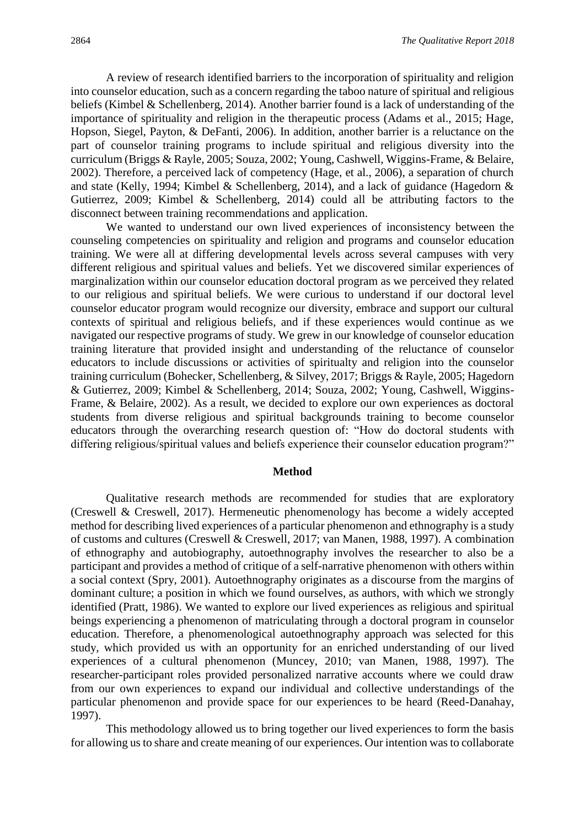A review of research identified barriers to the incorporation of spirituality and religion into counselor education, such as a concern regarding the taboo nature of spiritual and religious beliefs (Kimbel & Schellenberg, 2014). Another barrier found is a lack of understanding of the importance of spirituality and religion in the therapeutic process (Adams et al., 2015; Hage, Hopson, Siegel, Payton, & DeFanti, 2006). In addition, another barrier is a reluctance on the part of counselor training programs to include spiritual and religious diversity into the curriculum (Briggs & Rayle, 2005; Souza, 2002; Young, Cashwell, Wiggins-Frame, & Belaire, 2002). Therefore, a perceived lack of competency (Hage, et al., 2006), a separation of church and state (Kelly, 1994; Kimbel & Schellenberg, 2014), and a lack of guidance (Hagedorn & Gutierrez, 2009; Kimbel & Schellenberg, 2014) could all be attributing factors to the disconnect between training recommendations and application.

We wanted to understand our own lived experiences of inconsistency between the counseling competencies on spirituality and religion and programs and counselor education training. We were all at differing developmental levels across several campuses with very different religious and spiritual values and beliefs. Yet we discovered similar experiences of marginalization within our counselor education doctoral program as we perceived they related to our religious and spiritual beliefs. We were curious to understand if our doctoral level counselor educator program would recognize our diversity, embrace and support our cultural contexts of spiritual and religious beliefs, and if these experiences would continue as we navigated our respective programs of study. We grew in our knowledge of counselor education training literature that provided insight and understanding of the reluctance of counselor educators to include discussions or activities of spiritualty and religion into the counselor training curriculum (Bohecker, Schellenberg, & Silvey, 2017; Briggs & Rayle, 2005; Hagedorn & Gutierrez, 2009; Kimbel & Schellenberg, 2014; Souza, 2002; Young, Cashwell, Wiggins-Frame, & Belaire, 2002). As a result, we decided to explore our own experiences as doctoral students from diverse religious and spiritual backgrounds training to become counselor educators through the overarching research question of: "How do doctoral students with differing religious/spiritual values and beliefs experience their counselor education program?"

#### **Method**

Qualitative research methods are recommended for studies that are exploratory (Creswell & Creswell, 2017). Hermeneutic phenomenology has become a widely accepted method for describing lived experiences of a particular phenomenon and ethnography is a study of customs and cultures (Creswell & Creswell, 2017; van Manen, 1988, 1997). A combination of ethnography and autobiography, autoethnography involves the researcher to also be a participant and provides a method of critique of a self-narrative phenomenon with others within a social context (Spry, 2001). Autoethnography originates as a discourse from the margins of dominant culture; a position in which we found ourselves, as authors, with which we strongly identified (Pratt, 1986). We wanted to explore our lived experiences as religious and spiritual beings experiencing a phenomenon of matriculating through a doctoral program in counselor education. Therefore, a phenomenological autoethnography approach was selected for this study, which provided us with an opportunity for an enriched understanding of our lived experiences of a cultural phenomenon (Muncey, 2010; van Manen, 1988, 1997). The researcher-participant roles provided personalized narrative accounts where we could draw from our own experiences to expand our individual and collective understandings of the particular phenomenon and provide space for our experiences to be heard (Reed-Danahay, 1997).

This methodology allowed us to bring together our lived experiences to form the basis for allowing us to share and create meaning of our experiences. Our intention was to collaborate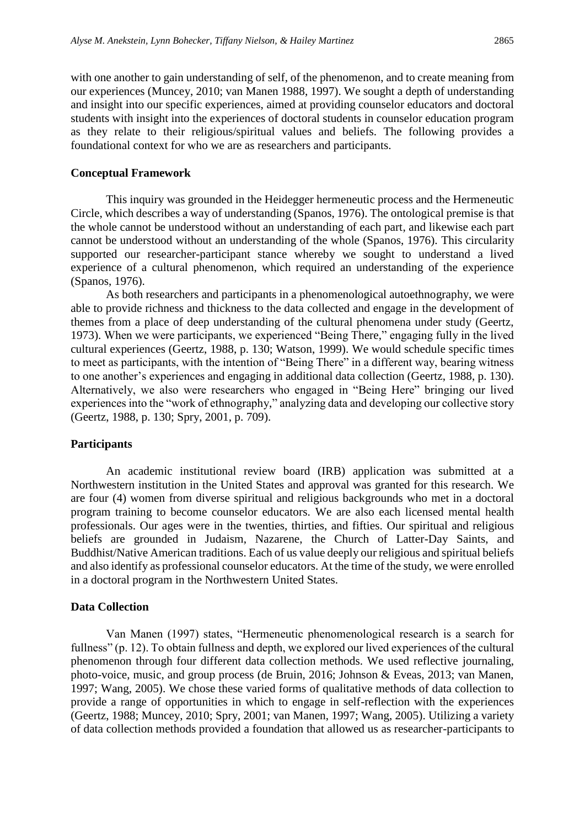with one another to gain understanding of self, of the phenomenon, and to create meaning from our experiences (Muncey, 2010; van Manen 1988, 1997). We sought a depth of understanding and insight into our specific experiences, aimed at providing counselor educators and doctoral students with insight into the experiences of doctoral students in counselor education program as they relate to their religious/spiritual values and beliefs. The following provides a foundational context for who we are as researchers and participants.

#### **Conceptual Framework**

This inquiry was grounded in the Heidegger hermeneutic process and the Hermeneutic Circle, which describes a way of understanding (Spanos, 1976). The ontological premise is that the whole cannot be understood without an understanding of each part, and likewise each part cannot be understood without an understanding of the whole (Spanos, 1976). This circularity supported our researcher-participant stance whereby we sought to understand a lived experience of a cultural phenomenon, which required an understanding of the experience (Spanos, 1976).

As both researchers and participants in a phenomenological autoethnography, we were able to provide richness and thickness to the data collected and engage in the development of themes from a place of deep understanding of the cultural phenomena under study (Geertz, 1973). When we were participants, we experienced "Being There," engaging fully in the lived cultural experiences (Geertz, 1988, p. 130; Watson, 1999). We would schedule specific times to meet as participants, with the intention of "Being There" in a different way, bearing witness to one another's experiences and engaging in additional data collection (Geertz, 1988, p. 130). Alternatively, we also were researchers who engaged in "Being Here" bringing our lived experiences into the "work of ethnography," analyzing data and developing our collective story (Geertz, 1988, p. 130; Spry, 2001, p. 709).

#### **Participants**

An academic institutional review board (IRB) application was submitted at a Northwestern institution in the United States and approval was granted for this research. We are four (4) women from diverse spiritual and religious backgrounds who met in a doctoral program training to become counselor educators. We are also each licensed mental health professionals. Our ages were in the twenties, thirties, and fifties. Our spiritual and religious beliefs are grounded in Judaism, Nazarene, the Church of Latter-Day Saints, and Buddhist/Native American traditions. Each of us value deeply our religious and spiritual beliefs and also identify as professional counselor educators. At the time of the study, we were enrolled in a doctoral program in the Northwestern United States.

#### **Data Collection**

Van Manen (1997) states, "Hermeneutic phenomenological research is a search for fullness" (p. 12). To obtain fullness and depth, we explored our lived experiences of the cultural phenomenon through four different data collection methods. We used reflective journaling, photo-voice, music, and group process (de Bruin, 2016; Johnson & Eveas, 2013; van Manen, 1997; Wang, 2005). We chose these varied forms of qualitative methods of data collection to provide a range of opportunities in which to engage in self-reflection with the experiences (Geertz, 1988; Muncey, 2010; Spry, 2001; van Manen, 1997; Wang, 2005). Utilizing a variety of data collection methods provided a foundation that allowed us as researcher-participants to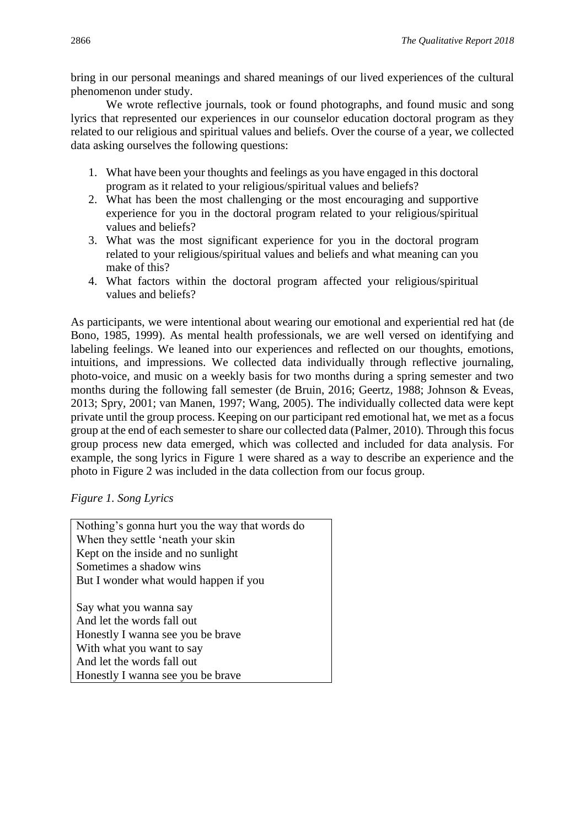bring in our personal meanings and shared meanings of our lived experiences of the cultural phenomenon under study.

We wrote reflective journals, took or found photographs, and found music and song lyrics that represented our experiences in our counselor education doctoral program as they related to our religious and spiritual values and beliefs. Over the course of a year, we collected data asking ourselves the following questions:

- 1. What have been your thoughts and feelings as you have engaged in this doctoral program as it related to your religious/spiritual values and beliefs?
- 2. What has been the most challenging or the most encouraging and supportive experience for you in the doctoral program related to your religious/spiritual values and beliefs?
- 3. What was the most significant experience for you in the doctoral program related to your religious/spiritual values and beliefs and what meaning can you make of this?
- 4. What factors within the doctoral program affected your religious/spiritual values and beliefs?

As participants, we were intentional about wearing our emotional and experiential red hat (de Bono, 1985, 1999). As mental health professionals, we are well versed on identifying and labeling feelings. We leaned into our experiences and reflected on our thoughts, emotions, intuitions, and impressions. We collected data individually through reflective journaling, photo-voice, and music on a weekly basis for two months during a spring semester and two months during the following fall semester (de Bruin, 2016; Geertz, 1988; Johnson & Eveas, 2013; Spry, 2001; van Manen, 1997; Wang, 2005). The individually collected data were kept private until the group process. Keeping on our participant red emotional hat, we met as a focus group at the end of each semester to share our collected data (Palmer, 2010). Through this focus group process new data emerged, which was collected and included for data analysis. For example, the song lyrics in Figure 1 were shared as a way to describe an experience and the photo in Figure 2 was included in the data collection from our focus group.

## *Figure 1. Song Lyrics*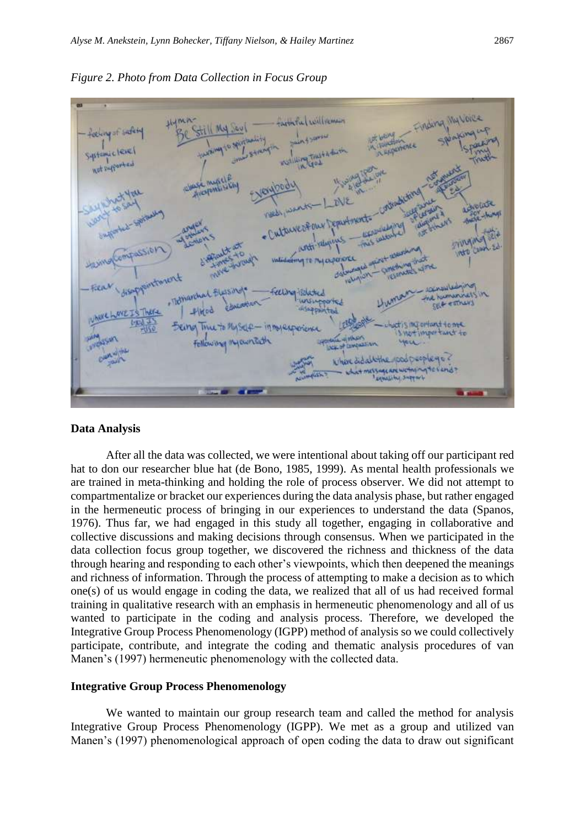

*Figure 2. Photo from Data Collection in Focus Group*

#### **Data Analysis**

After all the data was collected, we were intentional about taking off our participant red hat to don our researcher blue hat (de Bono, 1985, 1999). As mental health professionals we are trained in meta-thinking and holding the role of process observer. We did not attempt to compartmentalize or bracket our experiences during the data analysis phase, but rather engaged in the hermeneutic process of bringing in our experiences to understand the data (Spanos, 1976). Thus far, we had engaged in this study all together, engaging in collaborative and collective discussions and making decisions through consensus. When we participated in the data collection focus group together, we discovered the richness and thickness of the data through hearing and responding to each other's viewpoints, which then deepened the meanings and richness of information. Through the process of attempting to make a decision as to which one(s) of us would engage in coding the data, we realized that all of us had received formal training in qualitative research with an emphasis in hermeneutic phenomenology and all of us wanted to participate in the coding and analysis process. Therefore, we developed the Integrative Group Process Phenomenology (IGPP) method of analysis so we could collectively participate, contribute, and integrate the coding and thematic analysis procedures of van Manen's (1997) hermeneutic phenomenology with the collected data.

#### **Integrative Group Process Phenomenology**

We wanted to maintain our group research team and called the method for analysis Integrative Group Process Phenomenology (IGPP). We met as a group and utilized van Manen's (1997) phenomenological approach of open coding the data to draw out significant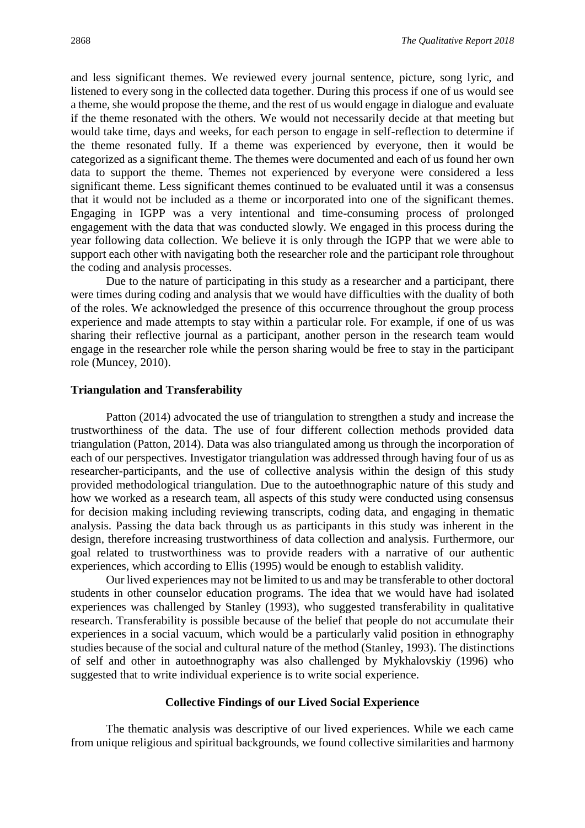and less significant themes. We reviewed every journal sentence, picture, song lyric, and listened to every song in the collected data together. During this process if one of us would see a theme, she would propose the theme, and the rest of us would engage in dialogue and evaluate if the theme resonated with the others. We would not necessarily decide at that meeting but would take time, days and weeks, for each person to engage in self-reflection to determine if the theme resonated fully. If a theme was experienced by everyone, then it would be categorized as a significant theme. The themes were documented and each of us found her own data to support the theme. Themes not experienced by everyone were considered a less significant theme. Less significant themes continued to be evaluated until it was a consensus that it would not be included as a theme or incorporated into one of the significant themes. Engaging in IGPP was a very intentional and time-consuming process of prolonged engagement with the data that was conducted slowly. We engaged in this process during the year following data collection. We believe it is only through the IGPP that we were able to support each other with navigating both the researcher role and the participant role throughout the coding and analysis processes.

Due to the nature of participating in this study as a researcher and a participant, there were times during coding and analysis that we would have difficulties with the duality of both of the roles. We acknowledged the presence of this occurrence throughout the group process experience and made attempts to stay within a particular role. For example, if one of us was sharing their reflective journal as a participant, another person in the research team would engage in the researcher role while the person sharing would be free to stay in the participant role (Muncey, 2010).

#### **Triangulation and Transferability**

Patton (2014) advocated the use of triangulation to strengthen a study and increase the trustworthiness of the data. The use of four different collection methods provided data triangulation (Patton, 2014). Data was also triangulated among us through the incorporation of each of our perspectives. Investigator triangulation was addressed through having four of us as researcher-participants, and the use of collective analysis within the design of this study provided methodological triangulation. Due to the autoethnographic nature of this study and how we worked as a research team, all aspects of this study were conducted using consensus for decision making including reviewing transcripts, coding data, and engaging in thematic analysis. Passing the data back through us as participants in this study was inherent in the design, therefore increasing trustworthiness of data collection and analysis. Furthermore, our goal related to trustworthiness was to provide readers with a narrative of our authentic experiences, which according to Ellis (1995) would be enough to establish validity.

Our lived experiences may not be limited to us and may be transferable to other doctoral students in other counselor education programs. The idea that we would have had isolated experiences was challenged by Stanley (1993), who suggested transferability in qualitative research. Transferability is possible because of the belief that people do not accumulate their experiences in a social vacuum, which would be a particularly valid position in ethnography studies because of the social and cultural nature of the method (Stanley, 1993). The distinctions of self and other in autoethnography was also challenged by Mykhalovskiy (1996) who suggested that to write individual experience is to write social experience.

#### **Collective Findings of our Lived Social Experience**

The thematic analysis was descriptive of our lived experiences. While we each came from unique religious and spiritual backgrounds, we found collective similarities and harmony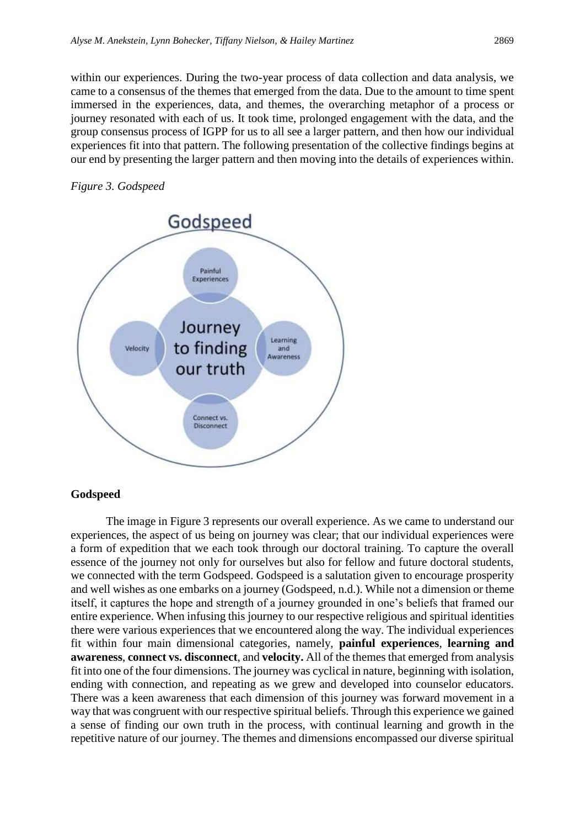within our experiences. During the two-year process of data collection and data analysis, we came to a consensus of the themes that emerged from the data. Due to the amount to time spent immersed in the experiences, data, and themes, the overarching metaphor of a process or journey resonated with each of us. It took time, prolonged engagement with the data, and the group consensus process of IGPP for us to all see a larger pattern, and then how our individual experiences fit into that pattern. The following presentation of the collective findings begins at our end by presenting the larger pattern and then moving into the details of experiences within.

*Figure 3. Godspeed*



#### **Godspeed**

The image in Figure 3 represents our overall experience. As we came to understand our experiences, the aspect of us being on journey was clear; that our individual experiences were a form of expedition that we each took through our doctoral training. To capture the overall essence of the journey not only for ourselves but also for fellow and future doctoral students, we connected with the term Godspeed. Godspeed is a salutation given to encourage prosperity and well wishes as one embarks on a journey (Godspeed, n.d.). While not a dimension or theme itself, it captures the hope and strength of a journey grounded in one's beliefs that framed our entire experience. When infusing this journey to our respective religious and spiritual identities there were various experiences that we encountered along the way. The individual experiences fit within four main dimensional categories, namely, **painful experiences**, **learning and awareness**, **connect vs. disconnect**, and **velocity.** All of the themes that emerged from analysis fit into one of the four dimensions. The journey was cyclical in nature, beginning with isolation, ending with connection, and repeating as we grew and developed into counselor educators. There was a keen awareness that each dimension of this journey was forward movement in a way that was congruent with our respective spiritual beliefs. Through this experience we gained a sense of finding our own truth in the process, with continual learning and growth in the repetitive nature of our journey. The themes and dimensions encompassed our diverse spiritual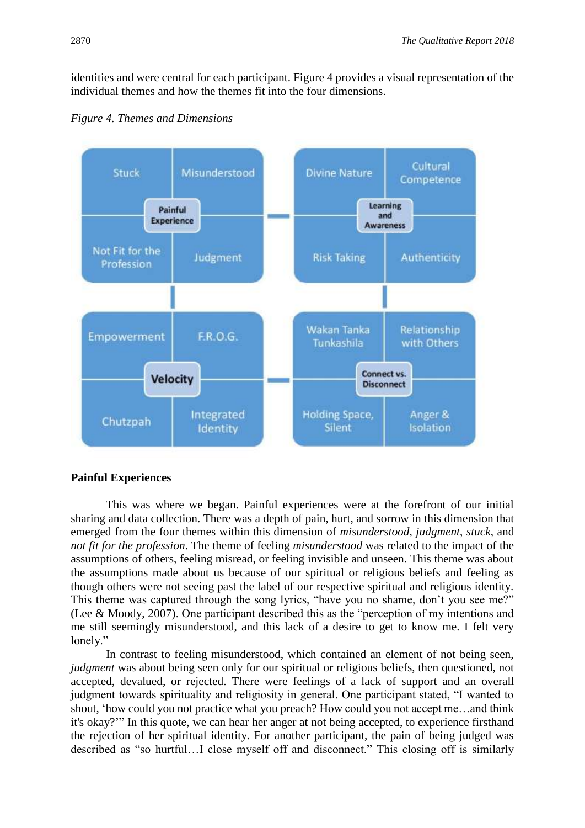identities and were central for each participant. Figure 4 provides a visual representation of the individual themes and how the themes fit into the four dimensions.



*Figure 4. Themes and Dimensions*

#### **Painful Experiences**

This was where we began. Painful experiences were at the forefront of our initial sharing and data collection. There was a depth of pain, hurt, and sorrow in this dimension that emerged from the four themes within this dimension of *misunderstood, judgment*, *stuck*, and *not fit for the profession*. The theme of feeling *misunderstood* was related to the impact of the assumptions of others, feeling misread, or feeling invisible and unseen. This theme was about the assumptions made about us because of our spiritual or religious beliefs and feeling as though others were not seeing past the label of our respective spiritual and religious identity. This theme was captured through the song lyrics, "have you no shame, don't you see me?" (Lee & Moody, 2007). One participant described this as the "perception of my intentions and me still seemingly misunderstood, and this lack of a desire to get to know me. I felt very lonely."

In contrast to feeling misunderstood, which contained an element of not being seen, *judgment* was about being seen only for our spiritual or religious beliefs, then questioned, not accepted, devalued, or rejected. There were feelings of a lack of support and an overall judgment towards spirituality and religiosity in general. One participant stated, "I wanted to shout, 'how could you not practice what you preach? How could you not accept me…and think it's okay?'" In this quote, we can hear her anger at not being accepted, to experience firsthand the rejection of her spiritual identity. For another participant, the pain of being judged was described as "so hurtful…I close myself off and disconnect." This closing off is similarly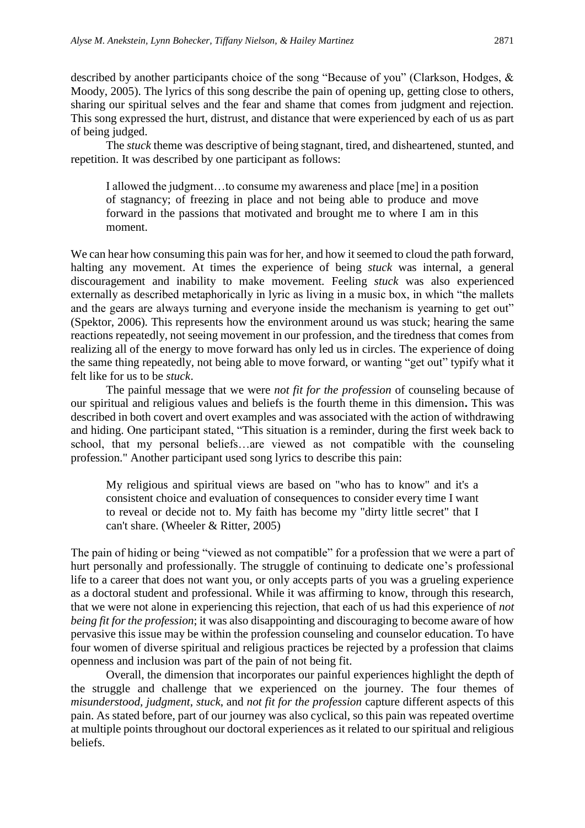described by another participants choice of the song "Because of you" (Clarkson, Hodges, & Moody, 2005). The lyrics of this song describe the pain of opening up, getting close to others, sharing our spiritual selves and the fear and shame that comes from judgment and rejection. This song expressed the hurt, distrust, and distance that were experienced by each of us as part of being judged.

The *stuck* theme was descriptive of being stagnant, tired, and disheartened, stunted, and repetition. It was described by one participant as follows:

I allowed the judgment…to consume my awareness and place [me] in a position of stagnancy; of freezing in place and not being able to produce and move forward in the passions that motivated and brought me to where I am in this moment.

We can hear how consuming this pain was for her, and how it seemed to cloud the path forward, halting any movement. At times the experience of being *stuck* was internal, a general discouragement and inability to make movement. Feeling *stuck* was also experienced externally as described metaphorically in lyric as living in a music box, in which "the mallets and the gears are always turning and everyone inside the mechanism is yearning to get out" (Spektor, 2006)*.* This represents how the environment around us was stuck; hearing the same reactions repeatedly, not seeing movement in our profession, and the tiredness that comes from realizing all of the energy to move forward has only led us in circles. The experience of doing the same thing repeatedly, not being able to move forward, or wanting "get out" typify what it felt like for us to be *stuck*.

The painful message that we were *not fit for the profession* of counseling because of our spiritual and religious values and beliefs is the fourth theme in this dimension**.** This was described in both covert and overt examples and was associated with the action of withdrawing and hiding. One participant stated, "This situation is a reminder, during the first week back to school, that my personal beliefs…are viewed as not compatible with the counseling profession." Another participant used song lyrics to describe this pain:

My religious and spiritual views are based on "who has to know" and it's a consistent choice and evaluation of consequences to consider every time I want to reveal or decide not to. My faith has become my "dirty little secret" that I can't share. (Wheeler & Ritter, 2005)

The pain of hiding or being "viewed as not compatible" for a profession that we were a part of hurt personally and professionally. The struggle of continuing to dedicate one's professional life to a career that does not want you, or only accepts parts of you was a grueling experience as a doctoral student and professional. While it was affirming to know, through this research, that we were not alone in experiencing this rejection, that each of us had this experience of *not being fit for the profession*; it was also disappointing and discouraging to become aware of how pervasive this issue may be within the profession counseling and counselor education. To have four women of diverse spiritual and religious practices be rejected by a profession that claims openness and inclusion was part of the pain of not being fit.

Overall, the dimension that incorporates our painful experiences highlight the depth of the struggle and challenge that we experienced on the journey. The four themes of *misunderstood, judgment*, *stuck*, and *not fit for the profession* capture different aspects of this pain. As stated before, part of our journey was also cyclical, so this pain was repeated overtime at multiple points throughout our doctoral experiences as it related to our spiritual and religious beliefs.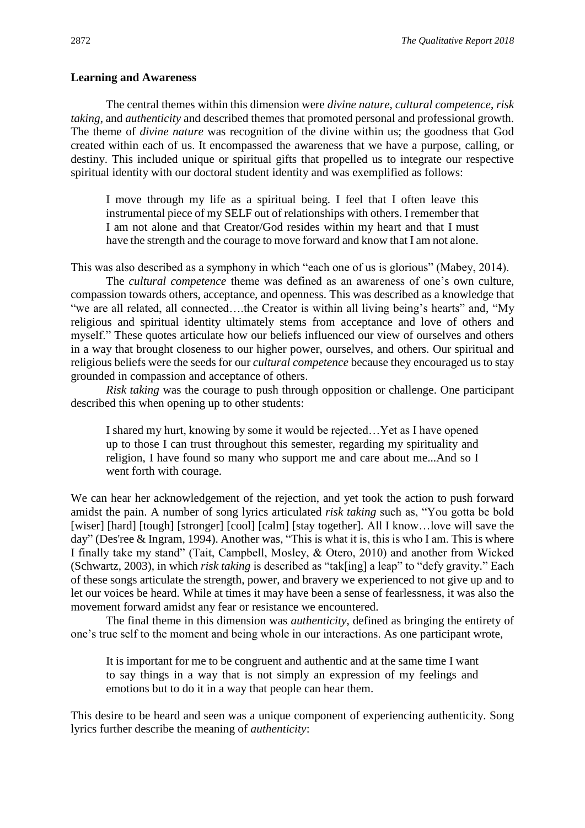#### **Learning and Awareness**

The central themes within this dimension were *divine nature*, *cultural competence*, *risk taking*, and *authenticity* and described themes that promoted personal and professional growth. The theme of *divine nature* was recognition of the divine within us; the goodness that God created within each of us. It encompassed the awareness that we have a purpose, calling, or destiny. This included unique or spiritual gifts that propelled us to integrate our respective spiritual identity with our doctoral student identity and was exemplified as follows:

I move through my life as a spiritual being. I feel that I often leave this instrumental piece of my SELF out of relationships with others. I remember that I am not alone and that Creator/God resides within my heart and that I must have the strength and the courage to move forward and know that I am not alone.

This was also described as a symphony in which "each one of us is glorious" (Mabey, 2014).

The *cultural competence* theme was defined as an awareness of one's own culture, compassion towards others, acceptance, and openness. This was described as a knowledge that "we are all related, all connected….the Creator is within all living being's hearts" and, "My religious and spiritual identity ultimately stems from acceptance and love of others and myself." These quotes articulate how our beliefs influenced our view of ourselves and others in a way that brought closeness to our higher power, ourselves, and others. Our spiritual and religious beliefs were the seeds for our *cultural competence* because they encouraged us to stay grounded in compassion and acceptance of others.

*Risk taking* was the courage to push through opposition or challenge. One participant described this when opening up to other students:

I shared my hurt, knowing by some it would be rejected…Yet as I have opened up to those I can trust throughout this semester, regarding my spirituality and religion, I have found so many who support me and care about me...And so I went forth with courage.

We can hear her acknowledgement of the rejection, and yet took the action to push forward amidst the pain. A number of song lyrics articulated *risk taking* such as, "You gotta be bold [wiser] [hard] [tough] [stronger] [cool] [calm] [stay together]. All I know...love will save the day" (Des'ree & Ingram, 1994). Another was, "This is what it is, this is who I am. This is where I finally take my stand" (Tait, Campbell, Mosley, & Otero, 2010) and another from Wicked (Schwartz, 2003), in which *risk taking* is described as "tak[ing] a leap" to "defy gravity." Each of these songs articulate the strength, power, and bravery we experienced to not give up and to let our voices be heard. While at times it may have been a sense of fearlessness, it was also the movement forward amidst any fear or resistance we encountered.

The final theme in this dimension was *authenticity*, defined as bringing the entirety of one's true self to the moment and being whole in our interactions. As one participant wrote,

It is important for me to be congruent and authentic and at the same time I want to say things in a way that is not simply an expression of my feelings and emotions but to do it in a way that people can hear them.

This desire to be heard and seen was a unique component of experiencing authenticity. Song lyrics further describe the meaning of *authenticity*: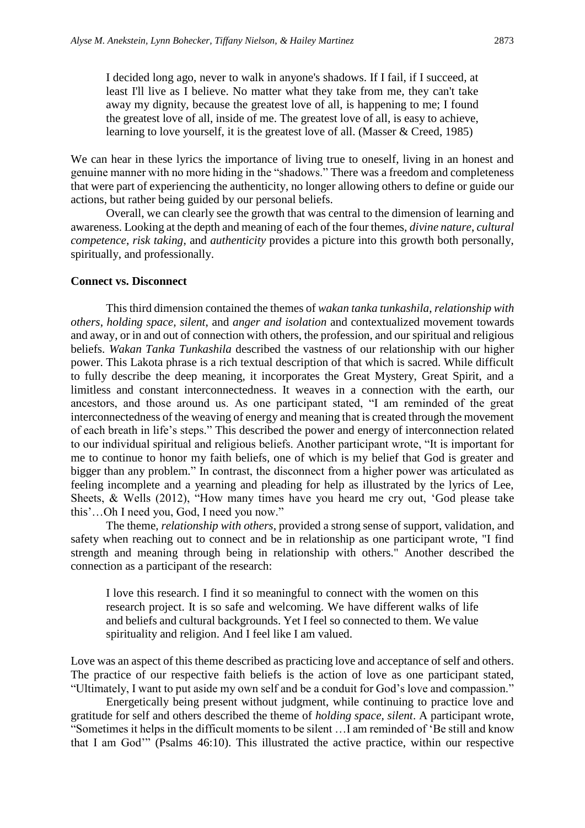I decided long ago, never to walk in anyone's shadows. If I fail, if I succeed, at least I'll live as I believe. No matter what they take from me, they can't take away my dignity, because the greatest love of all, is happening to me; I found the greatest love of all, inside of me. The greatest love of all, is easy to achieve, learning to love yourself, it is the greatest love of all. (Masser & Creed, 1985)

We can hear in these lyrics the importance of living true to oneself, living in an honest and genuine manner with no more hiding in the "shadows." There was a freedom and completeness that were part of experiencing the authenticity, no longer allowing others to define or guide our actions, but rather being guided by our personal beliefs.

Overall, we can clearly see the growth that was central to the dimension of learning and awareness. Looking at the depth and meaning of each of the four themes, *divine nature*, *cultural competence*, *risk taking*, and *authenticity* provides a picture into this growth both personally, spiritually, and professionally.

#### **Connect vs. Disconnect**

This third dimension contained the themes of *wakan tanka tunkashila*, *relationship with others*, *holding space, silent*, and *anger and isolation* and contextualized movement towards and away, or in and out of connection with others, the profession, and our spiritual and religious beliefs. *Wakan Tanka Tunkashila* described the vastness of our relationship with our higher power. This Lakota phrase is a rich textual description of that which is sacred. While difficult to fully describe the deep meaning, it incorporates the Great Mystery, Great Spirit, and a limitless and constant interconnectedness. It weaves in a connection with the earth, our ancestors, and those around us. As one participant stated, "I am reminded of the great interconnectedness of the weaving of energy and meaning that is created through the movement of each breath in life's steps." This described the power and energy of interconnection related to our individual spiritual and religious beliefs. Another participant wrote, "It is important for me to continue to honor my faith beliefs, one of which is my belief that God is greater and bigger than any problem." In contrast, the disconnect from a higher power was articulated as feeling incomplete and a yearning and pleading for help as illustrated by the lyrics of Lee, Sheets, & Wells (2012), "How many times have you heard me cry out, 'God please take this'…Oh I need you, God, I need you now."

The theme, *relationship with others*, provided a strong sense of support, validation, and safety when reaching out to connect and be in relationship as one participant wrote, "I find strength and meaning through being in relationship with others." Another described the connection as a participant of the research:

I love this research. I find it so meaningful to connect with the women on this research project. It is so safe and welcoming. We have different walks of life and beliefs and cultural backgrounds. Yet I feel so connected to them. We value spirituality and religion. And I feel like I am valued.

Love was an aspect of this theme described as practicing love and acceptance of self and others. The practice of our respective faith beliefs is the action of love as one participant stated, "Ultimately, I want to put aside my own self and be a conduit for God's love and compassion."

Energetically being present without judgment, while continuing to practice love and gratitude for self and others described the theme of *holding space, silent*. A participant wrote, "Sometimes it helps in the difficult moments to be silent …I am reminded of 'Be still and know that I am God'" (Psalms 46:10). This illustrated the active practice, within our respective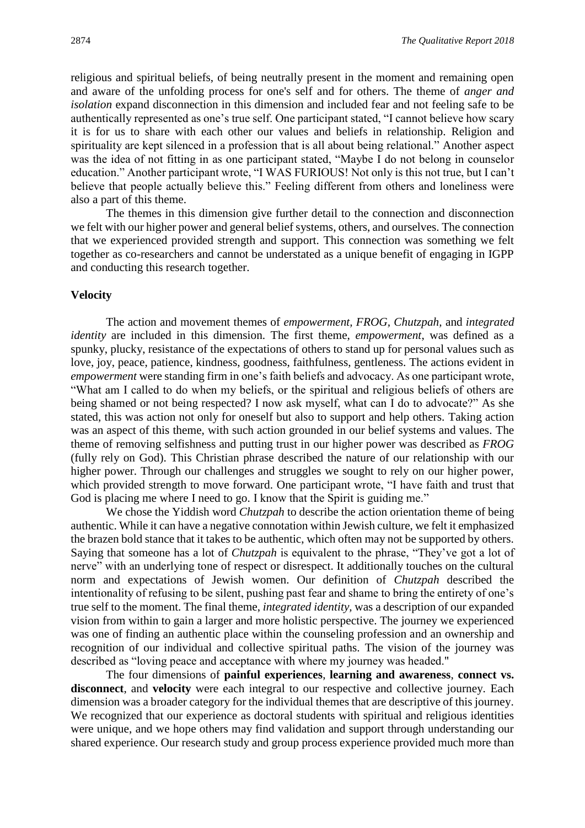religious and spiritual beliefs, of being neutrally present in the moment and remaining open and aware of the unfolding process for one's self and for others. The theme of *anger and isolation* expand disconnection in this dimension and included fear and not feeling safe to be authentically represented as one's true self. One participant stated, "I cannot believe how scary it is for us to share with each other our values and beliefs in relationship. Religion and spirituality are kept silenced in a profession that is all about being relational." Another aspect was the idea of not fitting in as one participant stated, "Maybe I do not belong in counselor education." Another participant wrote, "I WAS FURIOUS! Not only is this not true, but I can't believe that people actually believe this." Feeling different from others and loneliness were also a part of this theme.

The themes in this dimension give further detail to the connection and disconnection we felt with our higher power and general belief systems, others, and ourselves. The connection that we experienced provided strength and support. This connection was something we felt together as co-researchers and cannot be understated as a unique benefit of engaging in IGPP and conducting this research together.

#### **Velocity**

The action and movement themes of *empowerment, FROG, Chutzpah,* and *integrated identity* are included in this dimension. The first theme, *empowerment*, was defined as a spunky, plucky, resistance of the expectations of others to stand up for personal values such as love, joy, peace, patience, kindness, goodness, faithfulness, gentleness. The actions evident in *empowerment* were standing firm in one's faith beliefs and advocacy. As one participant wrote, "What am I called to do when my beliefs, or the spiritual and religious beliefs of others are being shamed or not being respected? I now ask myself, what can I do to advocate?" As she stated, this was action not only for oneself but also to support and help others. Taking action was an aspect of this theme, with such action grounded in our belief systems and values. The theme of removing selfishness and putting trust in our higher power was described as *FROG* (fully rely on God). This Christian phrase described the nature of our relationship with our higher power. Through our challenges and struggles we sought to rely on our higher power, which provided strength to move forward. One participant wrote, "I have faith and trust that God is placing me where I need to go. I know that the Spirit is guiding me."

We chose the Yiddish word *Chutzpah* to describe the action orientation theme of being authentic. While it can have a negative connotation within Jewish culture, we felt it emphasized the brazen bold stance that it takes to be authentic, which often may not be supported by others. Saying that someone has a lot of *Chutzpah* is equivalent to the phrase, "They've got a lot of nerve" with an underlying tone of respect or disrespect. It additionally touches on the cultural norm and expectations of Jewish women. Our definition of *Chutzpah* described the intentionality of refusing to be silent, pushing past fear and shame to bring the entirety of one's true self to the moment. The final theme, *integrated identity,* was a description of our expanded vision from within to gain a larger and more holistic perspective. The journey we experienced was one of finding an authentic place within the counseling profession and an ownership and recognition of our individual and collective spiritual paths. The vision of the journey was described as "loving peace and acceptance with where my journey was headed."

The four dimensions of **painful experiences**, **learning and awareness**, **connect vs. disconnect**, and **velocity** were each integral to our respective and collective journey. Each dimension was a broader category for the individual themes that are descriptive of this journey. We recognized that our experience as doctoral students with spiritual and religious identities were unique, and we hope others may find validation and support through understanding our shared experience. Our research study and group process experience provided much more than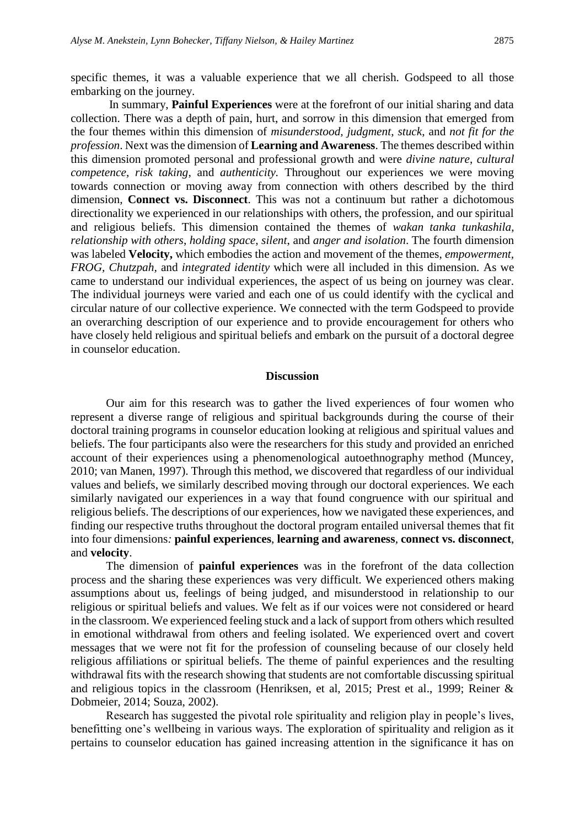specific themes, it was a valuable experience that we all cherish. Godspeed to all those embarking on the journey.

In summary, **Painful Experiences** were at the forefront of our initial sharing and data collection. There was a depth of pain, hurt, and sorrow in this dimension that emerged from the four themes within this dimension of *misunderstood, judgment*, *stuck*, and *not fit for the profession*. Next was the dimension of **Learning and Awareness**. The themes described within this dimension promoted personal and professional growth and were *divine nature*, *cultural competence*, *risk taking*, and *authenticity.* Throughout our experiences we were moving towards connection or moving away from connection with others described by the third dimension, **Connect vs. Disconnect**. This was not a continuum but rather a dichotomous directionality we experienced in our relationships with others, the profession, and our spiritual and religious beliefs. This dimension contained the themes of *wakan tanka tunkashila*, *relationship with others*, *holding space, silent*, and *anger and isolation*. The fourth dimension was labeled **Velocity,** which embodies the action and movement of the themes, *empowerment, FROG, Chutzpah,* and *integrated identity* which were all included in this dimension. As we came to understand our individual experiences, the aspect of us being on journey was clear. The individual journeys were varied and each one of us could identify with the cyclical and circular nature of our collective experience. We connected with the term Godspeed to provide an overarching description of our experience and to provide encouragement for others who have closely held religious and spiritual beliefs and embark on the pursuit of a doctoral degree in counselor education.

#### **Discussion**

Our aim for this research was to gather the lived experiences of four women who represent a diverse range of religious and spiritual backgrounds during the course of their doctoral training programs in counselor education looking at religious and spiritual values and beliefs. The four participants also were the researchers for this study and provided an enriched account of their experiences using a phenomenological autoethnography method (Muncey, 2010; van Manen, 1997). Through this method, we discovered that regardless of our individual values and beliefs, we similarly described moving through our doctoral experiences. We each similarly navigated our experiences in a way that found congruence with our spiritual and religious beliefs. The descriptions of our experiences, how we navigated these experiences, and finding our respective truths throughout the doctoral program entailed universal themes that fit into four dimensions*:* **painful experiences**, **learning and awareness**, **connect vs. disconnect**, and **velocity**.

The dimension of **painful experiences** was in the forefront of the data collection process and the sharing these experiences was very difficult. We experienced others making assumptions about us, feelings of being judged, and misunderstood in relationship to our religious or spiritual beliefs and values. We felt as if our voices were not considered or heard in the classroom. We experienced feeling stuck and a lack of support from others which resulted in emotional withdrawal from others and feeling isolated. We experienced overt and covert messages that we were not fit for the profession of counseling because of our closely held religious affiliations or spiritual beliefs. The theme of painful experiences and the resulting withdrawal fits with the research showing that students are not comfortable discussing spiritual and religious topics in the classroom (Henriksen, et al, 2015; Prest et al., 1999; Reiner & Dobmeier, 2014; Souza, 2002).

Research has suggested the pivotal role spirituality and religion play in people's lives, benefitting one's wellbeing in various ways. The exploration of spirituality and religion as it pertains to counselor education has gained increasing attention in the significance it has on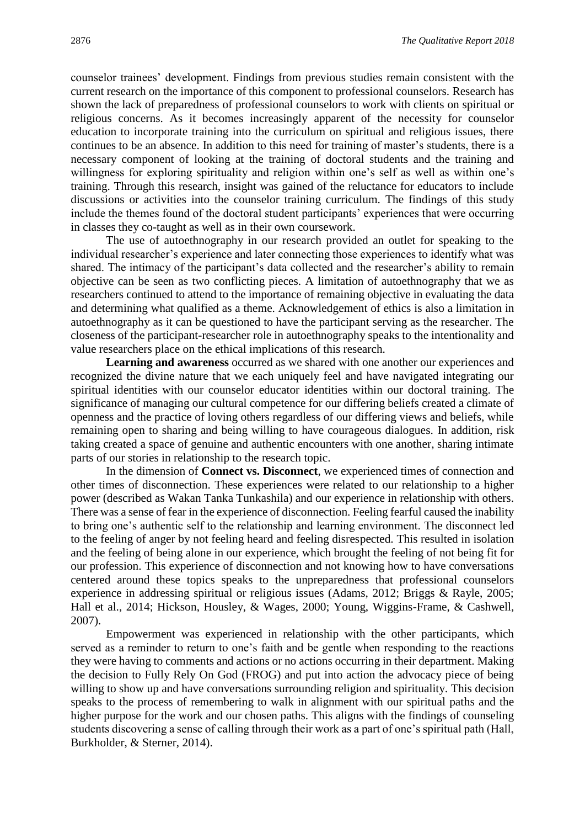counselor trainees' development. Findings from previous studies remain consistent with the current research on the importance of this component to professional counselors. Research has shown the lack of preparedness of professional counselors to work with clients on spiritual or religious concerns. As it becomes increasingly apparent of the necessity for counselor education to incorporate training into the curriculum on spiritual and religious issues, there continues to be an absence. In addition to this need for training of master's students, there is a necessary component of looking at the training of doctoral students and the training and willingness for exploring spirituality and religion within one's self as well as within one's training. Through this research, insight was gained of the reluctance for educators to include discussions or activities into the counselor training curriculum. The findings of this study include the themes found of the doctoral student participants' experiences that were occurring in classes they co-taught as well as in their own coursework.

The use of autoethnography in our research provided an outlet for speaking to the individual researcher's experience and later connecting those experiences to identify what was shared. The intimacy of the participant's data collected and the researcher's ability to remain objective can be seen as two conflicting pieces. A limitation of autoethnography that we as researchers continued to attend to the importance of remaining objective in evaluating the data and determining what qualified as a theme. Acknowledgement of ethics is also a limitation in autoethnography as it can be questioned to have the participant serving as the researcher. The closeness of the participant-researcher role in autoethnography speaks to the intentionality and value researchers place on the ethical implications of this research.

**Learning and awareness** occurred as we shared with one another our experiences and recognized the divine nature that we each uniquely feel and have navigated integrating our spiritual identities with our counselor educator identities within our doctoral training. The significance of managing our cultural competence for our differing beliefs created a climate of openness and the practice of loving others regardless of our differing views and beliefs, while remaining open to sharing and being willing to have courageous dialogues. In addition, risk taking created a space of genuine and authentic encounters with one another, sharing intimate parts of our stories in relationship to the research topic.

In the dimension of **Connect vs. Disconnect**, we experienced times of connection and other times of disconnection. These experiences were related to our relationship to a higher power (described as Wakan Tanka Tunkashila) and our experience in relationship with others. There was a sense of fear in the experience of disconnection. Feeling fearful caused the inability to bring one's authentic self to the relationship and learning environment. The disconnect led to the feeling of anger by not feeling heard and feeling disrespected. This resulted in isolation and the feeling of being alone in our experience, which brought the feeling of not being fit for our profession. This experience of disconnection and not knowing how to have conversations centered around these topics speaks to the unpreparedness that professional counselors experience in addressing spiritual or religious issues (Adams, 2012; Briggs & Rayle, 2005; Hall et al., 2014; Hickson, Housley, & Wages, 2000; Young, Wiggins-Frame, & Cashwell, 2007).

Empowerment was experienced in relationship with the other participants, which served as a reminder to return to one's faith and be gentle when responding to the reactions they were having to comments and actions or no actions occurring in their department. Making the decision to Fully Rely On God (FROG) and put into action the advocacy piece of being willing to show up and have conversations surrounding religion and spirituality. This decision speaks to the process of remembering to walk in alignment with our spiritual paths and the higher purpose for the work and our chosen paths. This aligns with the findings of counseling students discovering a sense of calling through their work as a part of one's spiritual path (Hall, Burkholder, & Sterner, 2014).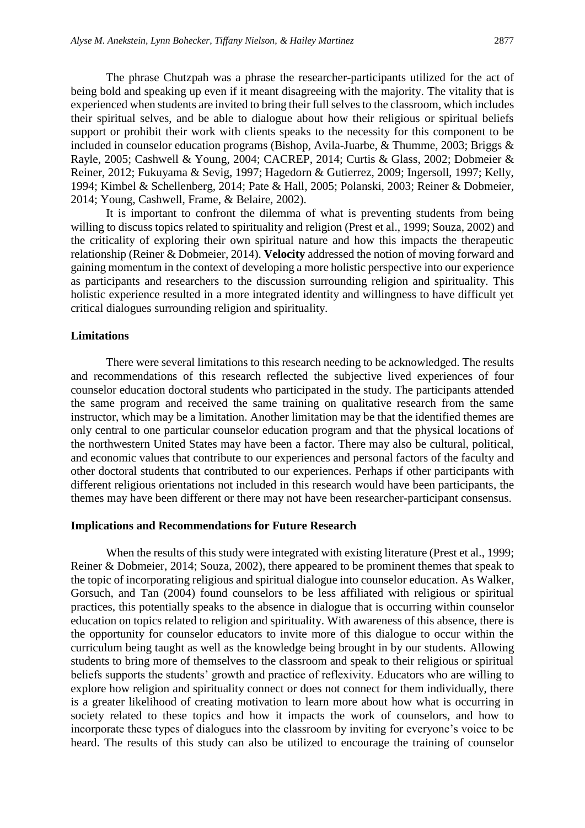The phrase Chutzpah was a phrase the researcher-participants utilized for the act of being bold and speaking up even if it meant disagreeing with the majority. The vitality that is experienced when students are invited to bring their full selves to the classroom, which includes their spiritual selves, and be able to dialogue about how their religious or spiritual beliefs support or prohibit their work with clients speaks to the necessity for this component to be included in counselor education programs (Bishop, Avila-Juarbe, & Thumme, 2003; Briggs & Rayle, 2005; Cashwell & Young, 2004; CACREP, 2014; Curtis & Glass, 2002; Dobmeier & Reiner, 2012; Fukuyama & Sevig, 1997; Hagedorn & Gutierrez, 2009; Ingersoll, 1997; Kelly, 1994; Kimbel & Schellenberg, 2014; Pate & Hall, 2005; Polanski, 2003; Reiner & Dobmeier, 2014; Young, Cashwell, Frame, & Belaire, 2002).

It is important to confront the dilemma of what is preventing students from being willing to discuss topics related to spirituality and religion (Prest et al., 1999; Souza, 2002) and the criticality of exploring their own spiritual nature and how this impacts the therapeutic relationship (Reiner & Dobmeier, 2014). **Velocity** addressed the notion of moving forward and gaining momentum in the context of developing a more holistic perspective into our experience as participants and researchers to the discussion surrounding religion and spirituality. This holistic experience resulted in a more integrated identity and willingness to have difficult yet critical dialogues surrounding religion and spirituality.

#### **Limitations**

There were several limitations to this research needing to be acknowledged. The results and recommendations of this research reflected the subjective lived experiences of four counselor education doctoral students who participated in the study. The participants attended the same program and received the same training on qualitative research from the same instructor, which may be a limitation. Another limitation may be that the identified themes are only central to one particular counselor education program and that the physical locations of the northwestern United States may have been a factor. There may also be cultural, political, and economic values that contribute to our experiences and personal factors of the faculty and other doctoral students that contributed to our experiences. Perhaps if other participants with different religious orientations not included in this research would have been participants, the themes may have been different or there may not have been researcher-participant consensus.

#### **Implications and Recommendations for Future Research**

When the results of this study were integrated with existing literature (Prest et al., 1999; Reiner & Dobmeier, 2014; Souza, 2002), there appeared to be prominent themes that speak to the topic of incorporating religious and spiritual dialogue into counselor education. As Walker, Gorsuch, and Tan (2004) found counselors to be less affiliated with religious or spiritual practices, this potentially speaks to the absence in dialogue that is occurring within counselor education on topics related to religion and spirituality. With awareness of this absence, there is the opportunity for counselor educators to invite more of this dialogue to occur within the curriculum being taught as well as the knowledge being brought in by our students. Allowing students to bring more of themselves to the classroom and speak to their religious or spiritual beliefs supports the students' growth and practice of reflexivity. Educators who are willing to explore how religion and spirituality connect or does not connect for them individually, there is a greater likelihood of creating motivation to learn more about how what is occurring in society related to these topics and how it impacts the work of counselors, and how to incorporate these types of dialogues into the classroom by inviting for everyone's voice to be heard. The results of this study can also be utilized to encourage the training of counselor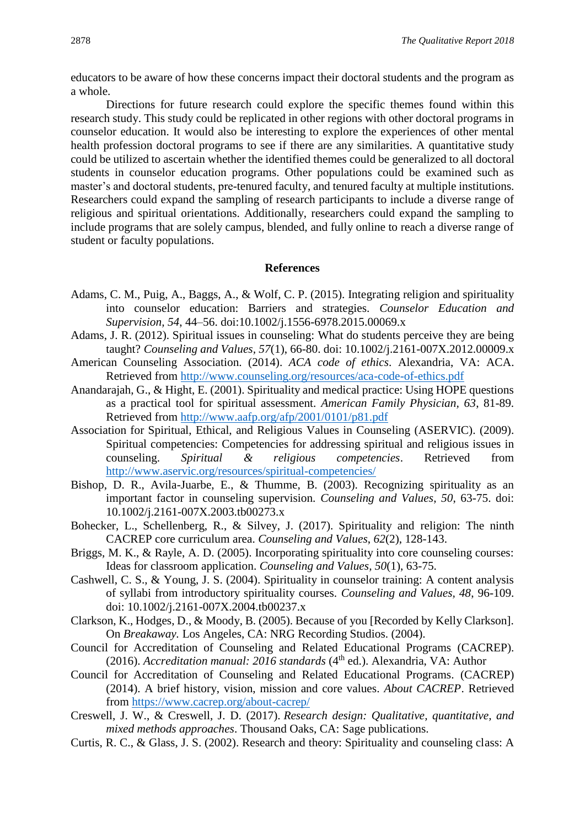educators to be aware of how these concerns impact their doctoral students and the program as a whole.

Directions for future research could explore the specific themes found within this research study. This study could be replicated in other regions with other doctoral programs in counselor education. It would also be interesting to explore the experiences of other mental health profession doctoral programs to see if there are any similarities. A quantitative study could be utilized to ascertain whether the identified themes could be generalized to all doctoral students in counselor education programs. Other populations could be examined such as master's and doctoral students, pre-tenured faculty, and tenured faculty at multiple institutions. Researchers could expand the sampling of research participants to include a diverse range of religious and spiritual orientations. Additionally, researchers could expand the sampling to include programs that are solely campus, blended, and fully online to reach a diverse range of student or faculty populations.

#### **References**

- Adams, C. M., Puig, A., Baggs, A., & Wolf, C. P. (2015). Integrating religion and spirituality into counselor education: Barriers and strategies. *Counselor Education and Supervision, 54*, 44–56. doi:10.1002/j.1556-6978.2015.00069.x
- Adams, J. R. (2012). Spiritual issues in counseling: What do students perceive they are being taught? *Counseling and Values, 57*(1), 66-80. doi: 10.1002/j.2161-007X.2012.00009.x
- American Counseling Association. (2014). *ACA code of ethics*. Alexandria, VA: ACA. Retrieved from<http://www.counseling.org/resources/aca-code-of-ethics.pdf>
- Anandarajah, G., & Hight, E. (2001). Spirituality and medical practice: Using HOPE questions as a practical tool for spiritual assessment. *American Family Physician, 63*, 81-89. Retrieved from<http://www.aafp.org/afp/2001/0101/p81.pdf>
- Association for Spiritual, Ethical, and Religious Values in Counseling (ASERVIC). (2009). Spiritual competencies: Competencies for addressing spiritual and religious issues in counseling. *Spiritual & religious competencies*. Retrieved from <http://www.aservic.org/resources/spiritual-competencies/>
- Bishop, D. R., Avila-Juarbe, E., & Thumme, B. (2003). Recognizing spirituality as an important factor in counseling supervision. *Counseling and Values*, *50*, 63-75. doi: 10.1002/j.2161-007X.2003.tb00273.x
- Bohecker, L., Schellenberg, R., & Silvey, J. (2017). Spirituality and religion: The ninth CACREP core curriculum area. *Counseling and Values*, *62*(2), 128-143.
- Briggs, M. K., & Rayle, A. D. (2005). Incorporating spirituality into core counseling courses: Ideas for classroom application. *Counseling and Values, 50*(1), 63-75.
- Cashwell, C. S., & Young, J. S. (2004). Spirituality in counselor training: A content analysis of syllabi from introductory spirituality courses. *Counseling and Values, 48*, 96-109. doi: 10.1002/j.2161-007X.2004.tb00237.x
- Clarkson, K., Hodges, D., & Moody, B. (2005). Because of you [Recorded by Kelly Clarkson]. On *Breakaway.* Los Angeles, CA: NRG Recording Studios. (2004).
- Council for Accreditation of Counseling and Related Educational Programs (CACREP). (2016). *Accreditation manual: 2016 standards* (4<sup>th</sup> ed.). Alexandria, VA: Author
- Council for Accreditation of Counseling and Related Educational Programs. (CACREP) (2014). A brief history, vision, mission and core values. *About CACREP*. Retrieved from<https://www.cacrep.org/about-cacrep/>
- Creswell, J. W., & Creswell, J. D. (2017). *Research design: Qualitative, quantitative, and mixed methods approaches*. Thousand Oaks, CA: Sage publications.
- Curtis, R. C., & Glass, J. S. (2002). Research and theory: Spirituality and counseling class: A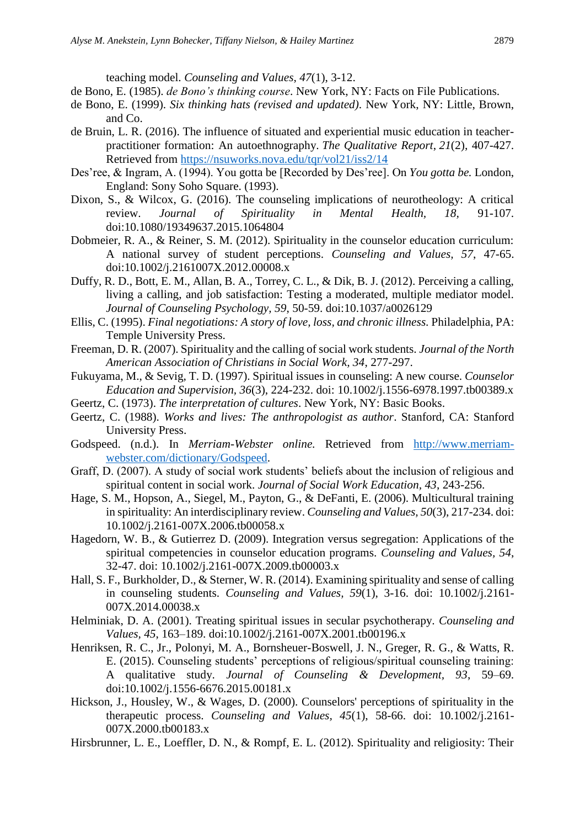teaching model. *Counseling and Values*, *47*(1), 3-12.

- de Bono, E. (1985). *de Bono's thinking course*. New York, NY: Facts on File Publications.
- de Bono, E. (1999). *Six thinking hats (revised and updated)*. New York, NY: Little, Brown, and Co.
- de Bruin, L. R. (2016). The influence of situated and experiential music education in teacherpractitioner formation: An autoethnography. *The Qualitative Report*, *21*(2), 407-427. Retrieved from<https://nsuworks.nova.edu/tqr/vol21/iss2/14>
- Des'ree, & Ingram, A. (1994). You gotta be [Recorded by Des'ree]. On *You gotta be.* London, England: Sony Soho Square. (1993).
- Dixon, S., & Wilcox, G. (2016). The counseling implications of neurotheology: A critical review. *Journal of Spirituality in Mental Health, 18,* 91-107. doi:10.1080/19349637.2015.1064804
- Dobmeier, R. A., & Reiner, S. M. (2012). Spirituality in the counselor education curriculum: A national survey of student perceptions. *Counseling and Values, 57*, 47-65. doi:10.1002/j.2161007X.2012.00008.x
- Duffy, R. D., Bott, E. M., Allan, B. A., Torrey, C. L., & Dik, B. J. (2012). Perceiving a calling, living a calling, and job satisfaction: Testing a moderated, multiple mediator model. *Journal of Counseling Psychology, 59*, 50-59. doi:10.1037/a0026129
- Ellis, C. (1995). *Final negotiations: A story of love, loss, and chronic illness.* Philadelphia, PA: Temple University Press.
- Freeman, D. R. (2007). Spirituality and the calling of social work students. *Journal of the North American Association of Christians in Social Work, 34*, 277-297.
- Fukuyama, M., & Sevig, T. D. (1997). Spiritual issues in counseling: A new course. *Counselor Education and Supervision, 36*(3), 224-232. doi: 10.1002/j.1556-6978.1997.tb00389.x
- Geertz, C. (1973). *The interpretation of cultures*. New York, NY: Basic Books.
- Geertz, C. (1988). *Works and lives: The anthropologist as author*. Stanford, CA: Stanford University Press.
- Godspeed. (n.d.). In *Merriam-Webster online*. Retrieved from [http://www.merriam](http://www.merriam-webster.com/dictionary/Godspeed)[webster.com/dictionary/Godspeed.](http://www.merriam-webster.com/dictionary/Godspeed)
- Graff, D. (2007). A study of social work students' beliefs about the inclusion of religious and spiritual content in social work. *Journal of Social Work Education, 43*, 243-256.
- Hage, S. M., Hopson, A., Siegel, M., Payton, G., & DeFanti, E. (2006). Multicultural training in spirituality: An interdisciplinary review. *Counseling and Values, 50*(3), 217-234. doi: 10.1002/j.2161-007X.2006.tb00058.x
- Hagedorn, W. B., & Gutierrez D. (2009). Integration versus segregation: Applications of the spiritual competencies in counselor education programs. *Counseling and Values, 54*, 32-47. doi: 10.1002/j.2161-007X.2009.tb00003.x
- Hall, S. F., Burkholder, D., & Sterner, W. R. (2014). Examining spirituality and sense of calling in counseling students. *Counseling and Values, 59*(1), 3-16. doi: 10.1002/j.2161- 007X.2014.00038.x
- Helminiak, D. A. (2001). Treating spiritual issues in secular psychotherapy. *Counseling and Values, 45*, 163–189. doi:10.1002/j.2161-007X.2001.tb00196.x
- Henriksen, R. C., Jr., Polonyi, M. A., Bornsheuer-Boswell, J. N., Greger, R. G., & Watts, R. E. (2015). Counseling students' perceptions of religious/spiritual counseling training: A qualitative study. *Journal of Counseling & Development, 93*, 59–69. doi:10.1002/j.1556-6676.2015.00181.x
- Hickson, J., Housley, W., & Wages, D. (2000). Counselors' perceptions of spirituality in the therapeutic process. *Counseling and Values, 45*(1), 58-66. doi: 10.1002/j.2161- 007X.2000.tb00183.x
- Hirsbrunner, L. E., Loeffler, D. N., & Rompf, E. L. (2012). Spirituality and religiosity: Their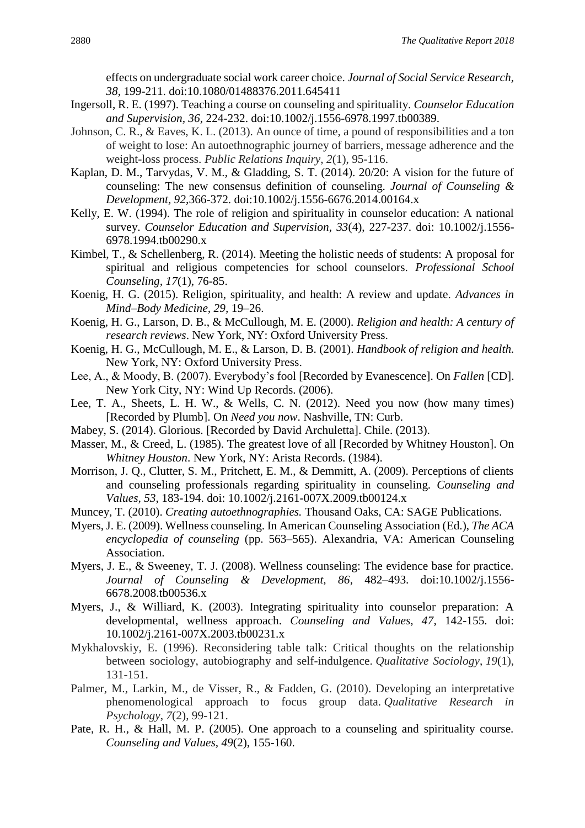effects on undergraduate social work career choice. *Journal of Social Service Research, 38*, 199-211. doi:10.1080/01488376.2011.645411

- Ingersoll, R. E. (1997). Teaching a course on counseling and spirituality. *Counselor Education and Supervision, 36*, 224-232. doi:10.1002/j.1556-6978.1997.tb00389.
- Johnson, C. R., & Eaves, K. L. (2013). An ounce of time, a pound of responsibilities and a ton of weight to lose: An autoethnographic journey of barriers, message adherence and the weight-loss process. *Public Relations Inquiry*, *2*(1), 95-116.
- Kaplan, D. M., Tarvydas, V. M., & Gladding, S. T. (2014). 20/20: A vision for the future of counseling: The new consensus definition of counseling. *Journal of Counseling & Development, 92,*366-372. doi:10.1002/j.1556-6676.2014.00164.x
- Kelly, E. W. (1994). The role of religion and spirituality in counselor education: A national survey. *Counselor Education and Supervision, 33*(4), 227-237. doi: 10.1002/j.1556- 6978.1994.tb00290.x
- Kimbel, T., & Schellenberg, R. (2014). Meeting the holistic needs of students: A proposal for spiritual and religious competencies for school counselors. *Professional School Counseling, 17*(1), 76-85.
- Koenig, H. G. (2015). Religion, spirituality, and health: A review and update. *Advances in Mind–Body Medicine, 29,* 19–26.
- Koenig, H. G., Larson, D. B., & McCullough, M. E. (2000). *Religion and health: A century of research reviews*. New York, NY: Oxford University Press.
- Koenig, H. G., McCullough, M. E., & Larson, D. B. (2001). *Handbook of religion and health.*  New York, NY: Oxford University Press.
- Lee, A., & Moody, B. (2007). Everybody's fool [Recorded by Evanescence]. On *Fallen* [CD]. New York City, NY: Wind Up Records. (2006).
- Lee, T. A., Sheets, L. H. W., & Wells, C. N. (2012). Need you now (how many times) [Recorded by Plumb]. On *Need you now*. Nashville, TN: Curb.
- Mabey, S. (2014). Glorious. [Recorded by David Archuletta]. Chile. (2013).
- Masser, M., & Creed, L. (1985). The greatest love of all [Recorded by Whitney Houston]. On *Whitney Houston*. New York, NY: Arista Records. (1984).
- Morrison, J. Q., Clutter, S. M., Pritchett, E. M., & Demmitt, A. (2009). Perceptions of clients and counseling professionals regarding spirituality in counseling. *Counseling and Values, 53*, 183-194. doi: 10.1002/j.2161-007X.2009.tb00124.x
- Muncey, T. (2010). *Creating autoethnographies.* Thousand Oaks, CA: SAGE Publications.
- Myers, J. E. (2009). Wellness counseling. In American Counseling Association (Ed.), *The ACA encyclopedia of counseling* (pp. 563–565). Alexandria, VA: American Counseling Association.
- Myers, J. E., & Sweeney, T. J. (2008). Wellness counseling: The evidence base for practice. *Journal of Counseling & Development, 86*, 482–493. doi:10.1002/j.1556- 6678.2008.tb00536.x
- Myers, J., & Williard, K. (2003). Integrating spirituality into counselor preparation: A developmental, wellness approach. *Counseling and Values, 47*, 142-155. doi: 10.1002/j.2161-007X.2003.tb00231.x
- Mykhalovskiy, E. (1996). Reconsidering table talk: Critical thoughts on the relationship between sociology, autobiography and self-indulgence. *Qualitative Sociology*, *19*(1), 131-151.
- Palmer, M., Larkin, M., de Visser, R., & Fadden, G. (2010). Developing an interpretative phenomenological approach to focus group data. *Qualitative Research in Psychology*, *7*(2), 99-121.
- Pate, R. H., & Hall, M. P. (2005). One approach to a counseling and spirituality course. *Counseling and Values, 49*(2), 155-160.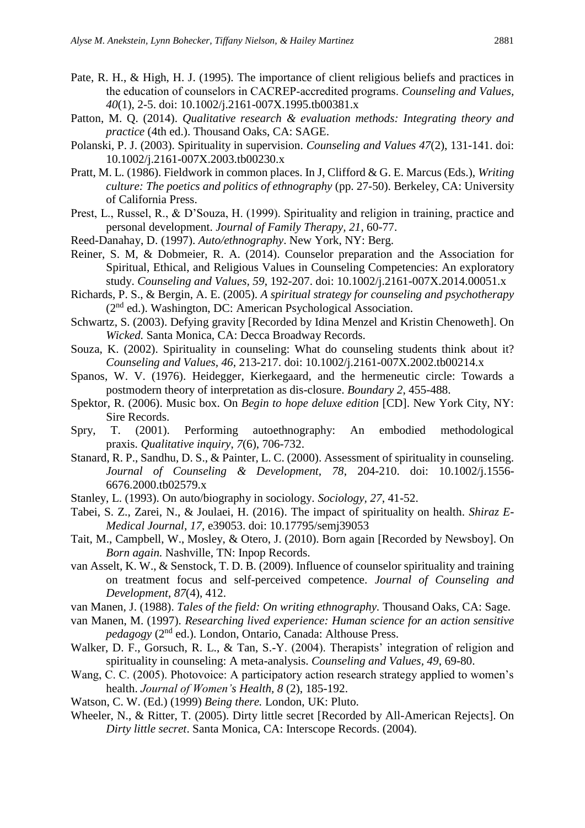- Pate, R. H., & High, H. J. (1995). The importance of client religious beliefs and practices in the education of counselors in CACREP‐accredited programs. *Counseling and Values, 40*(1), 2-5. doi: 10.1002/j.2161-007X.1995.tb00381.x
- Patton, M. Q. (2014). *Qualitative research & evaluation methods: Integrating theory and practice* (4th ed.). Thousand Oaks, CA: SAGE.
- Polanski, P. J. (2003). Spirituality in supervision. *Counseling and Values 47*(2), 131-141. doi: 10.1002/j.2161-007X.2003.tb00230.x
- Pratt, M. L. (1986). Fieldwork in common places. In J, Clifford & G. E. Marcus (Eds.), *Writing culture: The poetics and politics of ethnography* (pp. 27-50). Berkeley, CA: University of California Press.
- Prest, L., Russel, R., & D'Souza, H. (1999). Spirituality and religion in training, practice and personal development. *Journal of Family Therapy, 21*, 60-77.
- Reed-Danahay, D. (1997). *Auto/ethnography*. New York, NY: Berg.
- Reiner, S. M, & Dobmeier, R. A. (2014). Counselor preparation and the Association for Spiritual, Ethical, and Religious Values in Counseling Competencies: An exploratory study. *Counseling and Values, 59*, 192-207. doi: 10.1002/j.2161-007X.2014.00051.x
- Richards, P. S., & Bergin, A. E. (2005). *A spiritual strategy for counseling and psychotherapy* (2nd ed.). Washington, DC: American Psychological Association.
- Schwartz, S. (2003). Defying gravity [Recorded by Idina Menzel and Kristin Chenoweth]. On *Wicked.* Santa Monica, CA: Decca Broadway Records.
- Souza, K. (2002). Spirituality in counseling: What do counseling students think about it? *Counseling and Values, 46*, 213-217. doi: 10.1002/j.2161-007X.2002.tb00214.x
- Spanos, W. V. (1976). Heidegger, Kierkegaard, and the hermeneutic circle: Towards a postmodern theory of interpretation as dis-closure. *Boundary 2*, 455-488.
- Spektor, R. (2006). Music box. On *Begin to hope deluxe edition* [CD]. New York City, NY: Sire Records.
- Spry, T. (2001). Performing autoethnography: An embodied methodological praxis. *Qualitative inquiry*, *7*(6), 706-732.
- Stanard, R. P., Sandhu, D. S., & Painter, L. C. (2000). Assessment of spirituality in counseling. *Journal of Counseling & Development, 78*, 204-210. doi: 10.1002/j.1556- 6676.2000.tb02579.x
- Stanley, L. (1993). On auto/biography in sociology. *Sociology, 27*, 41-52.
- Tabei, S. Z., Zarei, N., & Joulaei, H. (2016). The impact of spirituality on health. *Shiraz E-Medical Journal, 17,* e39053. doi: 10.17795/semj39053
- Tait, M., Campbell, W., Mosley, & Otero, J. (2010). Born again [Recorded by Newsboy]. On *Born again.* Nashville, TN: Inpop Records.
- van Asselt, K. W., & Senstock, T. D. B. (2009). Influence of counselor spirituality and training on treatment focus and self-perceived competence. *Journal of Counseling and Development*, *87*(4), 412.
- van Manen, J. (1988). *Tales of the field: On writing ethnography.* Thousand Oaks, CA: Sage.
- van Manen, M. (1997). *Researching lived experience: Human science for an action sensitive pedagogy* (2<sup>nd</sup> ed.). London, Ontario, Canada: Althouse Press.
- Walker, D. F., Gorsuch, R. L., & Tan, S.-Y. (2004). Therapists' integration of religion and spirituality in counseling: A meta-analysis. *Counseling and Values, 49*, 69-80.
- Wang, C. C. (2005). Photovoice: A participatory action research strategy applied to women's health. *Journal of Women's Health, 8* (2), 185-192.
- Watson, C. W. (Ed.) (1999) *Being there.* London, UK: Pluto.
- Wheeler, N., & Ritter, T. (2005). Dirty little secret [Recorded by All-American Rejects]. On *Dirty little secret*. Santa Monica, CA: Interscope Records. (2004).